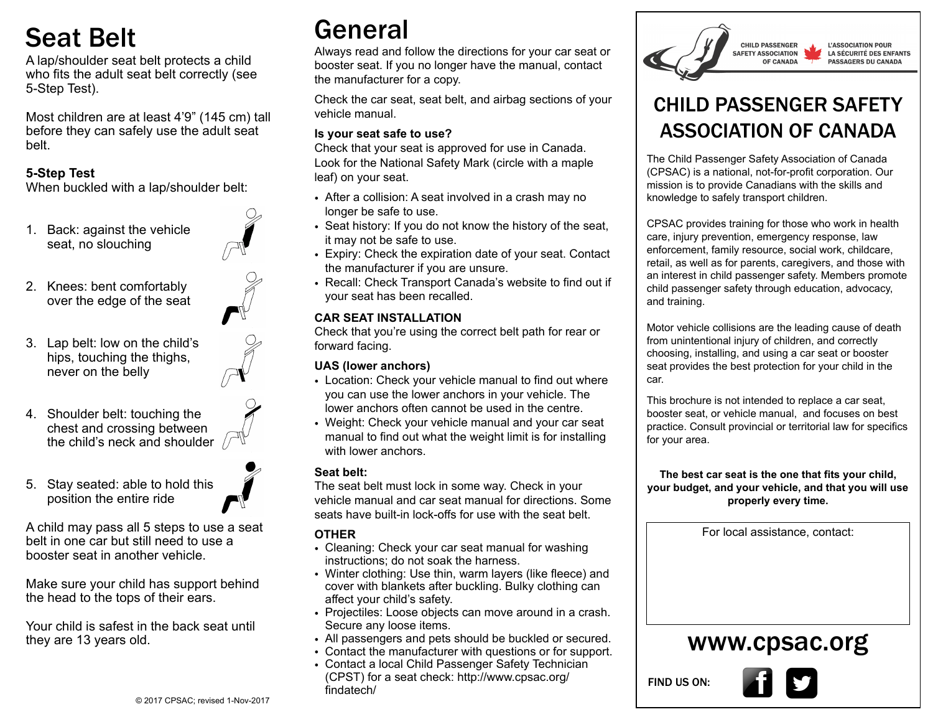# Seat Belt

A lap/shoulder seat belt protects a child who fits the adult seat belt correctly (see 5-Step Test).

Most children are at least 4'9" (145 cm) tall before they can safely use the adult seat belt.

## **5-Step Test**

When buckled with a lap/shoulder belt:

1. Back: against the vehicle seat, no slouching



- 2. Knees: bent comfortably over the edge of the seat
- 3. Lap belt: low on the child's hips, touching the thighs, never on the belly



4. Shoulder belt: touching the chest and crossing between the child's neck and shoulder  $\sqrt{}$ 



5. Stay seated: able to hold this position the entire ride

A child may pass all 5 steps to use a seat belt in one car but still need to use a booster seat in another vehicle.

Make sure your child has support behind the head to the tops of their ears.

Your child is safest in the back seat until they are 13 years old.

# General

Always read and follow the directions for your car seat or booster seat. If you no longer have the manual, contact the manufacturer for a copy.

Check the car seat, seat belt, and airbag sections of your vehicle manual.

### **Is your seat safe to use?**

Check that your seat is approved for use in Canada. Look for the National Safety Mark (circle with a maple leaf) on your seat.

- After a collision: A seat involved in a crash may no longer be safe to use.
- Seat history: If you do not know the history of the seat, it may not be safe to use.
- Expiry: Check the expiration date of your seat. Contact the manufacturer if you are unsure.
- Recall: Check Transport Canada's website to find out if your seat has been recalled.

### **CAR SEAT INSTALLATION**

Check that you're using the correct belt path for rear or forward facing.

### **UAS (lower anchors)**

- Location: Check your vehicle manual to find out where you can use the lower anchors in your vehicle. The lower anchors often cannot be used in the centre.
- Weight: Check your vehicle manual and your car seat manual to find out what the weight limit is for installing with lower anchors.

### **Seat belt:**

The seat belt must lock in some way. Check in your vehicle manual and car seat manual for directions. Some seats have built-in lock-offs for use with the seat belt.

# **OTHER**

- Cleaning: Check your car seat manual for washing instructions; do not soak the harness.
- Winter clothing: Use thin, warm layers (like fleece) and cover with blankets after buckling. Bulky clothing can affect your child's safety.
- Projectiles: Loose objects can move around in a crash. Secure any loose items.
- All passengers and pets should be buckled or secured.
- Contact the manufacturer with questions or for support.
- Contact a local Child Passenger Safety Technician (CPST) for a seat check: http://www.cpsac.org/ findatech/



# CHILD PASSENGER SAFETY ASSOCIATION OF CANADA

The Child Passenger Safety Association of Canada (CPSAC) is a national, not-for-profit corporation. Our mission is to provide Canadians with the skills and knowledge to safely transport children.

CPSAC provides training for those who work in health care, injury prevention, emergency response, law enforcement, family resource, social work, childcare, retail, as well as for parents, caregivers, and those with an interest in child passenger safety. Members promote child passenger safety through education, advocacy, and training.

Motor vehicle collisions are the leading cause of death from unintentional injury of children, and correctly choosing, installing, and using a car seat or booster seat provides the best protection for your child in the car.

This brochure is not intended to replace a car seat, booster seat, or vehicle manual, and focuses on best practice. Consult provincial or territorial law for specifics for your area.

**The best car seat is the one that fits your child, your budget, and your vehicle, and that you will use properly every time.**

For local assistance, contact:

# www.cpsac.org